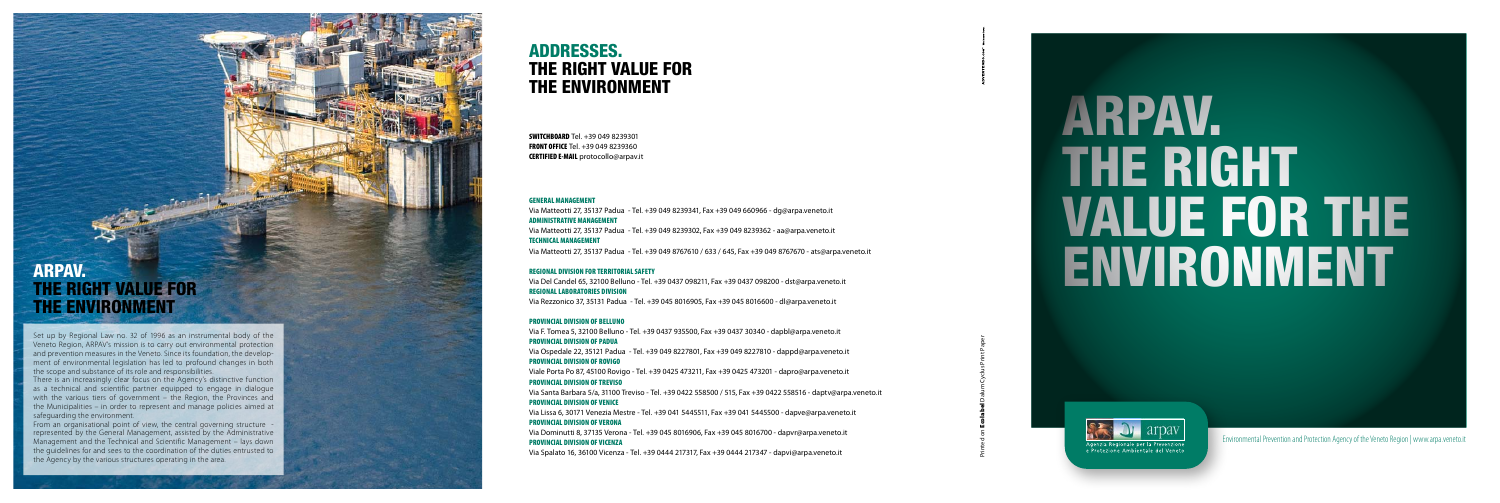## ADDRESSES. THE RIGHT VALUE FOR THE ENVIRONMENT

#### GENERAL MANAGEMENT

Via Matteotti 27, 35137 Padua - Tel. +39 049 8239341, Fax +39 049 660966 - dg@arpa.veneto.it ADMINISTRATIVE MANAGEMENT Via Matteotti 27, 35137 Padua - Tel. +39 049 8239302, Fax +39 049 8239362 - aa@arpa.veneto.it TECHNICAL MANAGEMENT Via Matteotti 27, 35137 Padua - Tel. +39 049 8767610 / 633 / 645, Fax +39 049 8767670 - ats@arpa.veneto.it

#### REGIONAL DIVISION FOR TERRITORIAL SAFETY

Via Del Candel 65, 32100 Belluno - Tel. +39 0437 098211, Fax +39 0437 098200 - dst@arpa.veneto.it REGIONAL LABORATORIES DIVISION

Via Rezzonico 37, 35131 Padua - Tel. +39 045 8016905, Fax +39 045 8016600 - dl@arpa.veneto.it

#### PROVINCIAL DIVISION OF BELLUNO

Via F. Tomea 5, 32100 Belluno - Tel. +39 0437 935500, Fax +39 0437 30340 - dapbl@arpa.veneto.it PROVINCIAL DIVISION OF PADUA Via Ospedale 22, 35121 Padua - Tel. +39 049 8227801, Fax +39 049 8227810 - dappd@arpa.veneto.it PROVINCIAL DIVISION OF ROVIGO Viale Porta Po 87, 45100 Rovigo - Tel. +39 0425 473211, Fax +39 0425 473201 - dapro@arpa.veneto.it PROVINCIAL DIVISION OF TREVISO Via Santa Barbara 5/a, 31100 Treviso - Tel. +39 0422 558500 / 515, Fax +39 0422 558516 - daptv@arpa.veneto.it PROVINCIAL DIVISION OF VENICE Via Lissa 6, 30171 Venezia Mestre - Tel. +39 041 5445511, Fax +39 041 5445500 - dapve@arpa.veneto.it PROVINCIAL DIVISION OF VERONA Via Dominutti 8, 37135 Verona - Tel. +39 045 8016906, Fax +39 045 8016700 - dapvr@arpa.veneto.it PROVINCIAL DIVISION OF VICENZA Via Spalato 16, 36100 Vicenza - Tel. +39 0444 217317, Fax +39 0444 217347 - dapvi@arpa.veneto.it

SWITCHBOARD Tel. +39 049 8239301 **FRONT OFFICE Tel. +39 049 8239360** CERTIFIED E-MAIL protocollo@arpav.it

# ARPAV. THE RIGHT VALUE FOR THE ENVIRONMENT

Set up by Regional Law no. 32 of 1996 as an instrumental body of the Veneto Region, ARPAV's mission is to carry out environmental protection and prevention measures in the Veneto. Since its foundation, the develop ment of environmental legislation has led to profound changes in both the scope and substance of its role and responsibilities.

There is an increasingly clear focus on the Agency's distinctive function as a technical and scientific partner equipped to engage in dialogue with the various tiers of government – the Region, the Provinces and the Municipalities – in order to represent and manage policies aimed at safeguarding the environment.

From an organisational point of view, the central governing structure represented by the General Management, assisted by the Administrative Management and the Technical and Scientific Management – lays down the guidelines for and sees to the coordination of the duties entrusted to the Agency by the various structures operating in the area.

Printed on Ecolabel Dalum Cyclus Print Paper

# ARPAV. THE RIGHT VALUE FOR THE ENVIRONMENT



Environmental Prevention and Protection Agency of the Veneto Region | www.arpa.veneto.it